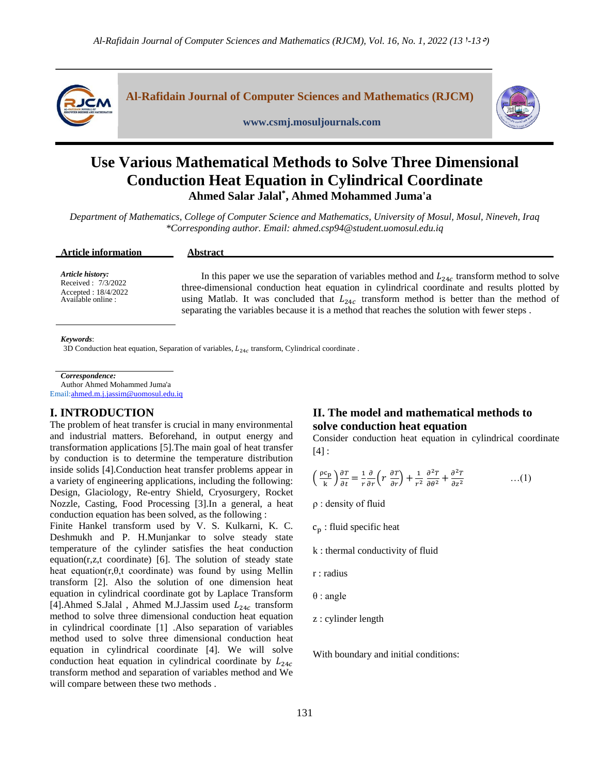

**Al-Rafidain Journal of Computer Sciences and Mathematics (RJCM)**



**www.csmj.mosuljournals.com**

# **Use Various Mathematical Methods to Solve Three Dimensional Conduction Heat Equation in Cylindrical Coordinate Ahmed Salar Jalal\* , Ahmed Mohammed Juma'a**

*Department of Mathematics, College of Computer Science and Mathematics, University of Mosul, Mosul, Nineveh, Iraq \*Corresponding author. Email: [ahmed.csp94@student.uomosul.edu.iq](mailto:ahmed.csp94@student.uomosul.edu.iq)*

| <b>Article information</b> | <b>Abstract</b>                                                                                 |
|----------------------------|-------------------------------------------------------------------------------------------------|
| <b>Article history:</b>    | In this paper we use the separation of variables method and $L_{24c}$ transform method to solve |
| Received: 7/3/2022         | three-dimensional conduction heat equation in cylindrical coordinate and results plotted by     |
| Accepted: 18/4/2022        | using Matlab. It was concluded that $L_{24c}$ transform method is better than the method of     |
| Available online :         | separating the variables because it is a method that reaches the solution with fewer steps.     |

#### *Keywords*:

3D Conduction heat equation, Separation of variables,  $L_{24c}$  transform, Cylindrical coordinate.

*Correspondence:* Author Ahmed Mohammed Juma'a

Emai[l:ahmed.m.j.jassim@uomosul.edu.iq](mailto:ahmed.m.j.jassim@uomosul.edu.iq)

# **I. INTRODUCTION**

The problem of heat transfer is crucial in many environmental and industrial matters. Beforehand, in output energy and transformation applications [5].The main goal of heat transfer by conduction is to determine the temperature distribution inside solids [4].Conduction heat transfer problems appear in a variety of engineering applications, including the following: Design, Glaciology, Re-entry Shield, Cryosurgery, Rocket Nozzle, Casting, Food Processing [3].In a general, a heat conduction equation has been solved, as the following : Finite Hankel transform used by V. S. Kulkarni, K. C. Deshmukh and P. H.Munjankar to solve steady state temperature of the cylinder satisfies the heat conduction equation(r,z,t coordinate) [6]. The solution of steady state heat equation( $r, \theta, t$  coordinate) was found by using Mellin transform [2]. Also the solution of one dimension heat equation in cylindrical coordinate got by Laplace Transform

[4].Ahmed S.Jalal, Ahmed M.J.Jassim used  $L_{24c}$  transform method to solve three dimensional conduction heat equation in cylindrical coordinate [1] .Also separation of variables method used to solve three dimensional conduction heat equation in cylindrical coordinate [4]. We will solve conduction heat equation in cylindrical coordinate by  $L_{24c}$ transform method and separation of variables method and We will compare between these two methods .

# **II. The model and mathematical methods to solve conduction heat equation**

Consider conduction heat equation in cylindrical coordinate [4] :

$$
\left(\frac{\rho c_p}{k}\right)\frac{\partial T}{\partial t} = \frac{1}{r}\frac{\partial}{\partial r}\left(r\,\frac{\partial T}{\partial r}\right) + \frac{1}{r^2}\frac{\partial^2 T}{\partial \theta^2} + \frac{\partial^2 T}{\partial z^2} \qquad \qquad \dots (1)
$$

ρ : density of fluid

- $c_p$ : fluid specific heat
- k : thermal conductivity of fluid
- r : radius
- θ : angle
- z : cylinder length

With boundary and initial conditions: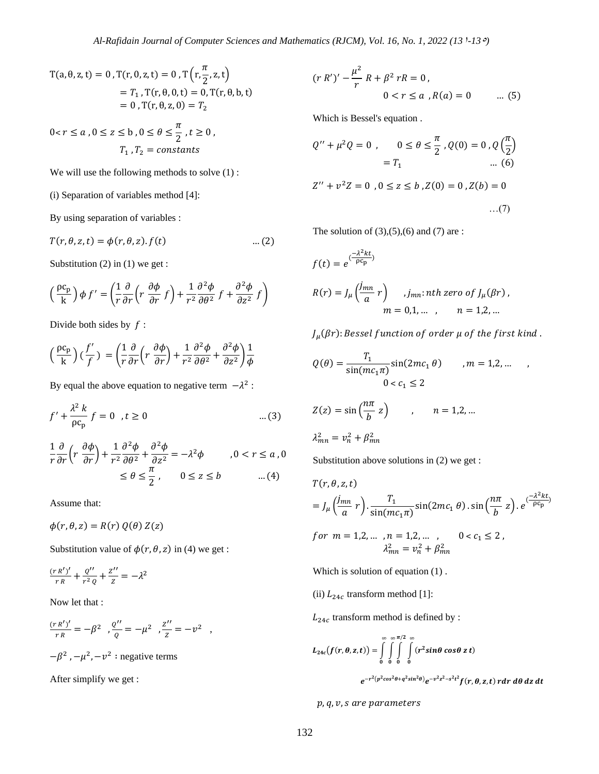$$
T(a, \theta, z, t) = 0, T(r, 0, z, t) = 0, T(r, \frac{\pi}{2}, z, t)
$$
  
=  $T_1$ ,  $T(r, \theta, 0, t) = 0$ ,  $T(r, \theta, b, t)$   
= 0,  $T(r, \theta, z, 0) = T_2$ 

$$
0 < r \le a \,, 0 \le z \le b \,, 0 \le \theta \le \frac{\pi}{2} \,, t \ge 0 \,,
$$
\n
$$
T_1 \,, T_2 = \text{constants}
$$

We will use the following methods to solve  $(1)$ :

(i) Separation of variables method [4]:

By using separation of variables :

$$
T(r, \theta, z, t) = \phi(r, \theta, z). f(t) \qquad \qquad \dots (2)
$$

Substitution (2) in (1) we get :

$$
\left(\frac{\rho c_p}{k}\right)\phi f' = \left(\frac{1}{r}\frac{\partial}{\partial r}\left(r\frac{\partial \phi}{\partial r}f\right) + \frac{1}{r^2}\frac{\partial^2 \phi}{\partial \theta^2}f + \frac{\partial^2 \phi}{\partial z^2}f\right)
$$

Divide both sides by  $f$  :

$$
\left(\frac{\rho c_p}{k}\right)\left(\frac{f'}{f}\right) = \left(\frac{1}{r}\frac{\partial}{\partial r}\left(r\frac{\partial \phi}{\partial r}\right) + \frac{1}{r^2}\frac{\partial^2 \phi}{\partial \theta^2} + \frac{\partial^2 \phi}{\partial z^2}\right)\frac{1}{\phi}
$$

By equal the above equation to negative term  $-\lambda^2$ :

$$
f' + \frac{\lambda^2 k}{\rho c_p} f = 0 \quad t \ge 0 \tag{3}
$$

$$
\frac{1}{r}\frac{\partial}{\partial r}\left(r\frac{\partial\phi}{\partial r}\right) + \frac{1}{r^2}\frac{\partial^2\phi}{\partial\theta^2} + \frac{\partial^2\phi}{\partial z^2} = -\lambda^2\phi \qquad , 0 < r \le a, 0
$$

$$
\le \theta \le \frac{\pi}{2}, \qquad 0 \le z \le b \qquad \qquad ...(4)
$$

Assume that:

 $\phi(r, \theta, z) = R(r) Q(\theta) Z(z)$ 

Substitution value of  $\phi(r, \theta, z)$  in (4) we get :

$$
\frac{(r R')'}{r R} + \frac{Q''}{r^2 Q} + \frac{Z''}{Z} = -\lambda^2
$$

Now let that :

$$
\frac{(r R')'}{r R} = -\beta^2 , \frac{\varrho''}{\varrho} = -\mu^2 , \frac{z''}{z} = -\nu^2 ,
$$
  

$$
-\beta^2, -\mu^2, -\nu^2 : \text{negative terms}
$$

After simplify we get :

$$
(r R')' - \frac{\mu^2}{r} R + \beta^2 rR = 0,
$$
  
0 < r \le a, R(a) = 0 \t ... (5)

Which is Bessel's equation .

$$
Q'' + \mu^2 Q = 0 , \qquad 0 \le \theta \le \frac{\pi}{2}, Q(0) = 0, Q\left(\frac{\pi}{2}\right)
$$
  
=  $T_1$  ... (6)

$$
Z'' + v^2 Z = 0, 0 \le z \le b, Z(0) = 0, Z(b) = 0
$$
...(7)

The solution of  $(3)$ , $(5)$ , $(6)$  and  $(7)$  are :

$$
f(t) = e^{\frac{-\lambda^2 kt}{\rho c_p}}
$$
  
\n
$$
R(r) = J_{\mu} \left( \frac{j_{mn}}{a} r \right) , j_{mn} : nth \text{ zero of } J_{\mu}(\beta r) ,
$$
  
\n
$$
m = 0, 1, ..., \qquad n = 1, 2, ...
$$

 $J_\mu(\beta r)$ : Bessel function of order  $\mu$  of the first kind .

$$
Q(\theta) = \frac{T_1}{\sin(mc_1\pi)} \sin(2mc_1\theta) \qquad , m = 1, 2, \dots \qquad ,
$$
  

$$
0 < c_1 \le 2
$$
  

$$
Z(z) = \sin\left(\frac{n\pi}{b}z\right) \qquad , \qquad n = 1, 2, \dots
$$
  

$$
\lambda_{mn}^2 = v_n^2 + \beta_{mn}^2
$$

Substitution above solutions in (2) we get :

$$
T(r, \theta, z, t)
$$
  
=  $J_{\mu} \left( \frac{j_{mn}}{a} r \right) \cdot \frac{T_1}{\sin(mc_1 \pi)} \sin(2mc_1 \theta) \cdot \sin\left( \frac{n\pi}{b} z \right) \cdot e^{\frac{-\lambda^2 k t}{\rho c_p}}$   
for  $m = 1, 2, ..., n = 1, 2, ..., 0 < c_1 \le 2$ ,  
 $\lambda_{mn}^2 = v_n^2 + \beta_{mn}^2$ 

Which is solution of equation (1) .

(ii)  $L_{24c}$  transform method [1]:

 $L_{24c}$  transform method is defined by :

$$
L_{24c}(f(r,\theta,z,t)) = \int_{0}^{\infty} \int_{0}^{\infty} \int_{0}^{\pi/2} \int_{0}^{\infty} (r^2 sin\theta cos\theta z t)
$$

 $e^{-r^2(p^2cos^2\theta+q^2sin^2\theta)}e^{-v^2z^2-s^2t^2}f(r,\theta,z,t) \; r dr \; d\theta \; dz \; dt$ 

 $p, q, v$ , s are parameters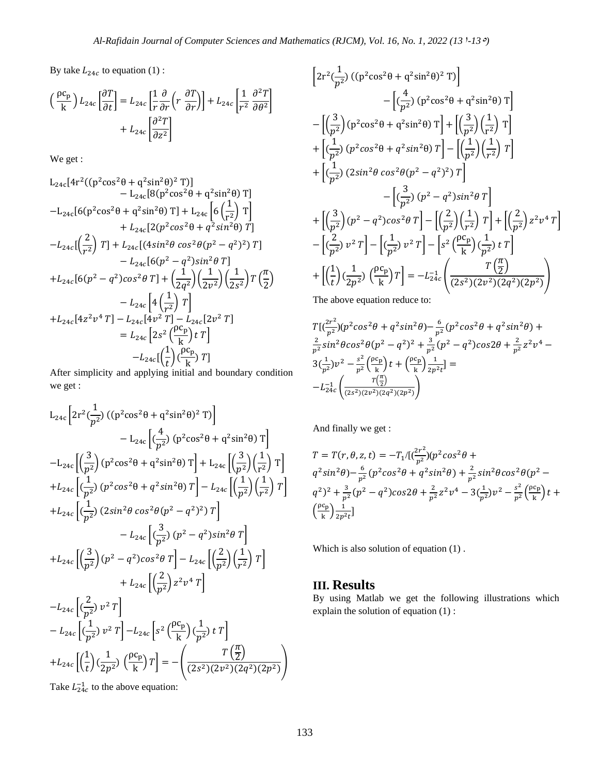By take  $L_{24c}$  to equation (1):

$$
\left(\frac{\rho c_p}{k}\right) L_{24c} \left[\frac{\partial T}{\partial t}\right] = L_{24c} \left[\frac{1}{r} \frac{\partial}{\partial r} \left(r \frac{\partial T}{\partial r}\right)\right] + L_{24c} \left[\frac{1}{r^2} \frac{\partial^2 T}{\partial \theta^2}\right] + L_{24c} \left[\frac{\partial^2 T}{\partial z^2}\right]
$$

We get :

$$
L_{24c}[4r^{2}((p^{2}cos^{2}\theta + q^{2}sin^{2}\theta)^{2}T)]
$$
  
\n
$$
- L_{24c}[8(p^{2}cos^{2}\theta + q^{2}sin^{2}\theta)T]
$$
  
\n
$$
- L_{24c}[6(p^{2}cos^{2}\theta + q^{2}sin^{2}\theta)T] + L_{24c}[6(\frac{1}{r^{2}})T]
$$
  
\n
$$
+ L_{24c}[2(p^{2}cos^{2}\theta + q^{2}sin^{2}\theta)T]
$$
  
\n
$$
- L_{24c}[(\frac{2}{r^{2}})T] + L_{24c}[(4sin^{2}\theta cos^{2}\theta(p^{2} - q^{2})^{2})T]
$$
  
\n
$$
- L_{24c}[6(p^{2} - q^{2})sin^{2}\theta T]
$$
  
\n
$$
+ L_{24c}[6(p^{2} - q^{2})cos^{2}\theta T] + (\frac{1}{2q^{2}})(\frac{1}{2v^{2}})(\frac{1}{2s^{2}})T(\frac{\pi}{2})
$$
  
\n
$$
- L_{24c}[4(\frac{1}{r^{2}})T]
$$
  
\n
$$
+ L_{24c}[4z^{2}v^{4}T] - L_{24c}[4v^{2}T] - L_{24c}[2v^{2}T]
$$
  
\n
$$
= L_{24c}[2s^{2}(\frac{\rho c_{p}}{k})tT]
$$
  
\n
$$
- L_{24c}[(\frac{1}{t})(\frac{\rho c_{p}}{k})T]
$$

After simplicity and applying initial and boundary condition we get :

$$
L_{24c}\left[2r^{2}(\frac{1}{p^{2}})((p^{2}cos^{2}\theta + q^{2}sin^{2}\theta)^{2} T)\right]
$$
  
\n
$$
-L_{24c}\left[(\frac{4}{p^{2}})(p^{2}cos^{2}\theta + q^{2}sin^{2}\theta) T\right]
$$
  
\n
$$
-L_{24c}\left[(\frac{3}{p^{2}})(p^{2}cos^{2}\theta + q^{2}sin^{2}\theta) T\right] + L_{24c}\left[(\frac{3}{p^{2}})(\frac{1}{r^{2}}) T\right]
$$
  
\n
$$
+L_{24c}\left[(\frac{1}{p^{2}})(p^{2}cos^{2}\theta + q^{2}sin^{2}\theta) T\right] - L_{24c}\left[(\frac{1}{p^{2}})(\frac{1}{r^{2}}) T\right]
$$
  
\n
$$
+L_{24c}\left[(\frac{1}{p^{2}})(2sin^{2}\theta cos^{2}\theta)(p^{2} - q^{2})^{2}) T\right]
$$
  
\n
$$
-L_{24c}\left[(\frac{3}{p^{2}})(p^{2} - q^{2})cos^{2}\theta T\right] - L_{24c}\left[(\frac{2}{p^{2}})(\frac{1}{r^{2}}) T\right]
$$
  
\n
$$
+L_{24c}\left[(\frac{2}{p^{2}})z^{2}v^{4} T\right]
$$
  
\n
$$
-L_{24c}\left[(\frac{2}{p^{2}})v^{2} T\right]
$$
  
\n
$$
-L_{24c}\left[(\frac{1}{p^{2}})v^{2} T\right] - L_{24c}\left[s^{2}(\frac{\rho c_{p}}{k})(\frac{1}{p^{2}}) t T\right]
$$
  
\n
$$
+L_{24c}\left[(\frac{1}{t})(\frac{1}{2p^{2}})^{2} T\right] - L_{24c}\left[s^{2}(\frac{\rho c_{p}}{k})(\frac{1}{p^{2}})^{2} T\right]
$$
  
\n
$$
+L_{24c}\left[(\frac{1}{t})(\frac{1}{2p^{2}})^{2} (\frac{\rho c_{p}}{k}) T\right] = -\left(\frac{T(\frac{\pi}{2})}{(2s^{2})(2v^{2})(2q^{2})(2p^{2})}\right)
$$

 $\left[2r^2\right(\frac{1}{2}\right]$  $\frac{1}{p^2}$ ) ((p<sup>2</sup>cos<sup>2</sup>θ + q<sup>2</sup>sin<sup>2</sup>θ)<sup>2</sup> T)  $-\left[\frac{4}{\sqrt{3}}\right]$  $\frac{1}{p^2}$ ) (p<sup>2</sup>cos<sup>2</sup>θ + q<sup>2</sup>sin<sup>2</sup>θ) T  $\left[ \left( \frac{3}{2} \right)$  $\left[\frac{3}{p^2}\right]$  (p<sup>2</sup>cos<sup>2</sup> $\theta$  + q<sup>2</sup>sin<sup>2</sup> $\theta$ ) T $\left[\frac{3}{p^2}\right]$  $\frac{3}{p^2}$ ) $\left(\frac{1}{r^2}\right)$  $\frac{1}{r^2}$  T  $+ 1 (\frac{1}{2})$  $\frac{1}{p^2}$ ) (p<sup>2</sup>cos<sup>2</sup>θ + q<sup>2</sup>sin<sup>2</sup>θ) T $\left[-\left(\frac{1}{p^2}\right)\right]$  $\frac{1}{p^2}\Big) \Big(\frac{1}{r^2}$  $\frac{1}{r^2}$   $T$  $+$  $\left[$  $\frac{1}{2}\right]$  $\frac{1}{p^2}$ ) (2sin<sup>2</sup> $\theta$  cos<sup>2</sup> $\theta$ ( $p^2 - q^2$ )<sup>2</sup>) T  $-\left[\frac{3}{2}\right]$  $\frac{3}{p^2}$   $\left(p^2 - q^2\right)$ sin<sup>2</sup> $\theta$  T  $+$   $\left[ \left( \frac{3}{2} \right)$  $\left(\frac{3}{p^2}\right)(p^2-q^2)\cos^2\theta T\right]-\left[\left(\frac{2}{p^2}\right)$  $\frac{2}{p^2}\Big)\Big(\frac{1}{r^2}$  $\left[\frac{1}{r^2}\right)T\right]+\left[\left(\frac{2}{p^2}\right)$  $\left[\frac{2}{p^2}\right]z^2v^4T$  $-\left[\frac{2}{\sqrt{2}}\right]$  $\left[\frac{2}{p^2}\right]v^2T\right]-\left[\left(\frac{1}{p^2}\right)$  $\left[\frac{1}{p^2}\right]v^2T\right]-\left[s^2\left(\frac{\rho c_p}{k}\right)\right]$  $\left(\frac{c_p}{k}\right)$  $\left(\frac{1}{p^2}\right)$  $\frac{1}{p^2}$ ) t T  $\left| \frac{1}{p^2} \right|$ +  $\left| \left( \frac{1}{1} \right) \right|$  $\frac{1}{t}$ )  $\left(\frac{1}{2p}\right)$  $rac{1}{2p^2}$ )  $\left(\frac{\rho c_p}{k}\right)$  $\left[\frac{\text{c}_{\text{p}}}{\text{k}}\right]T$  =  $-L_{24c}^{-1}$  $T\left(\frac{\pi}{2}\right)$  $\frac{\pi}{2}$  $\frac{(2y^2)(2y^2)(2q^2)(2p^2)}{(2s^2)(2q^2)(2p^2)}$ The above equation reduce to:

$$
T[(\frac{2r^2}{p^2})(p^2\cos^2\theta + q^2\sin^2\theta) - \frac{6}{p^2}(p^2\cos^2\theta + q^2\sin^2\theta) +
$$
  
\n
$$
\frac{2}{p^2}\sin^2\theta\cos^2\theta(p^2 - q^2)^2 + \frac{3}{p^2}(p^2 - q^2)\cos2\theta + \frac{2}{p^2}z^2v^4 -
$$
  
\n
$$
3(\frac{1}{p^2})v^2 - \frac{s^2}{p^2}(\frac{\rho c_p}{k})t + (\frac{\rho c_p}{k})\frac{1}{2p^2t}] =
$$
  
\n
$$
-L_{24c}^{-1}\left(\frac{T(\frac{\pi}{2})}{(2s^2)(2v^2)(2q^2)(2p^2)}\right)
$$

And finally we get :

$$
T = T(r, \theta, z, t) = -T_1 / \left[ \frac{2r^2}{p^2} \right] (p^2 \cos^2 \theta + q^2 \sin^2 \theta) - \frac{6}{p^2} (p^2 \cos^2 \theta + q^2 \sin^2 \theta) + \frac{2}{p^2} \sin^2 \theta \cos^2 \theta (p^2 - q^2)^2 + \frac{3}{p^2} (p^2 - q^2) \cos 2\theta + \frac{2}{p^2} z^2 v^4 - 3 \left( \frac{1}{p^2} \right) v^2 - \frac{s^2}{p^2} \left( \frac{\rho c_p}{k} \right) t + \left( \frac{\rho c_p}{k} \right) \frac{1}{2p^2 t} ]
$$

Which is also solution of equation (1) .

## **III. Results**

By using Matlab we get the following illustrations which explain the solution of equation (1) :

Take  $L_{24c}^{-1}$  to the above equation: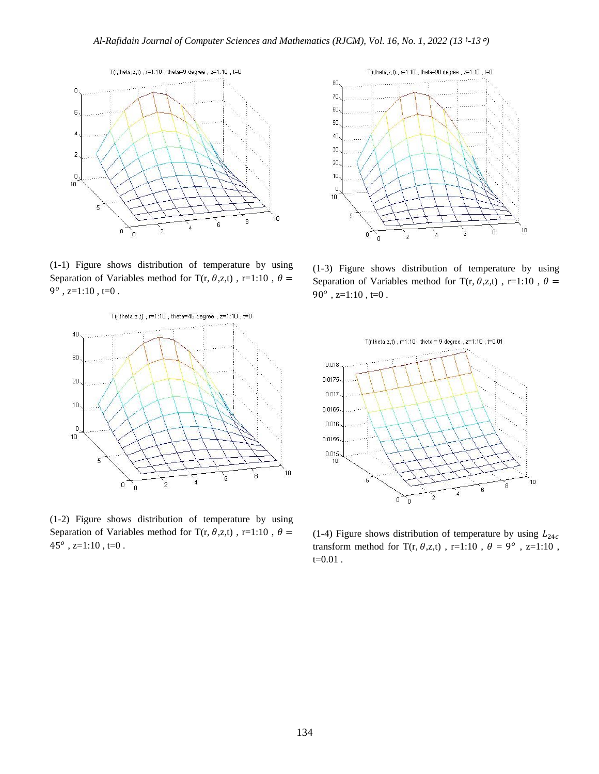

(1-1) Figure shows distribution of temperature by using Separation of Variables method for T(r,  $\theta$ ,z,t), r=1:10,  $\theta$  =  $9^o$ , z=1:10, t=0.



(1-2) Figure shows distribution of temperature by using Separation of Variables method for T(r,  $\theta$ ,z,t), r=1:10,  $\theta$  =  $45^{\circ}$ , z=1:10, t=0.



(1-3) Figure shows distribution of temperature by using Separation of Variables method for T(r,  $\theta$ ,z,t), r=1:10,  $\theta$  =  $90^o$ , z=1:10, t=0.



(1-4) Figure shows distribution of temperature by using  $L_{24c}$ transform method for  $T(r, \theta, z,t)$ , r=1:10,  $\theta = 9^{\circ}$ , z=1:10,  $t=0.01$ .